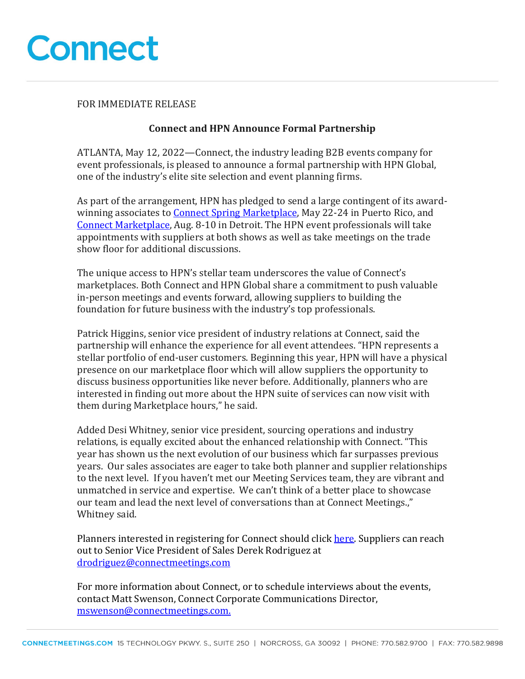

#### FOR IMMEDIATE RELEASE

### **Connect and HPN Announce Formal Partnership**

ATLANTA, May 12, 2022—Connect, the industry leading B2B events company for event professionals, is pleased to announce a formal partnership with HPN Global, one of the industry's elite site selection and event planning firms.

As part of the arrangement, HPN has pledged to send a large contingent of its awardwinning associates to Connect Spring Marketplace, May 22-24 in Puerto Rico, and Connect Marketplace, Aug. 8-10 in Detroit. The HPN event professionals will take appointments with suppliers at both shows as well as take meetings on the trade show floor for additional discussions.

The unique access to HPN's stellar team underscores the value of Connect's marketplaces. Both Connect and HPN Global share a commitment to push valuable in-person meetings and events forward, allowing suppliers to building the foundation for future business with the industry's top professionals.

Patrick Higgins, senior vice president of industry relations at Connect, said the partnership will enhance the experience for all event attendees. "HPN represents a stellar portfolio of end-user customers. Beginning this year, HPN will have a physical presence on our marketplace floor which will allow suppliers the opportunity to discuss business opportunities like never before. Additionally, planners who are interested in finding out more about the HPN suite of services can now visit with them during Marketplace hours," he said.

Added Desi Whitney, senior vice president, sourcing operations and industry relations, is equally excited about the enhanced relationship with Connect. "This year has shown us the next evolution of our business which far surpasses previous years. Our sales associates are eager to take both planner and supplier relationships to the next level. If you haven't met our Meeting Services team, they are vibrant and unmatched in service and expertise. We can't think of a better place to showcase our team and lead the next level of conversations than at Connect Meetings.," Whitney said.

Planners interested in registering for Connect should click here. Suppliers can reach out to Senior Vice President of Sales Derek Rodriguez at drodriguez@connectmeetings.com

For more information about Connect, or to schedule interviews about the events, contact Matt Swenson, Connect Corporate Communications Director, mswenson@connectmeetings.com.